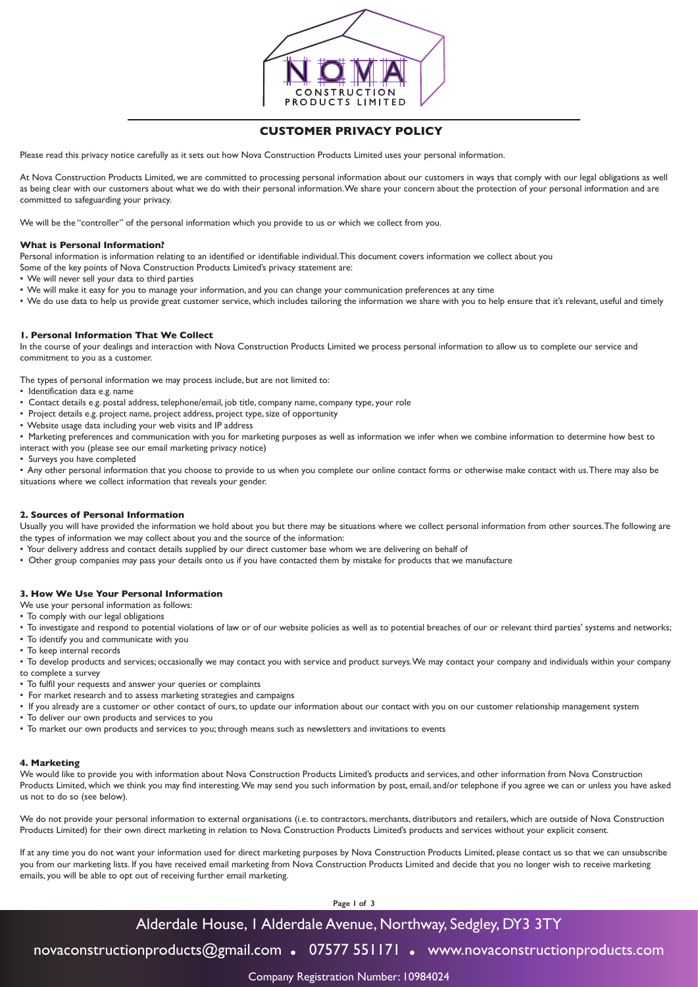

# **CUSTOMER PRIVACY POLICY**

Please read this privacy notice carefully as it sets out how Nova Construction Products Limited uses your personal information.

At Nova Construction Products Limited, we are committed to processing personal information about our customers in ways that comply with our legal obligations as well as being clear with our customers about what we do with their personal information. We share your concern about the protection of your personal information and are committed to safeguarding your privacy.

We will be the "controller" of the personal information which you provide to us or which we collect from you.

## **What is Personal Information?**

Personal information is information relating to an identified or identifiable individual. This document covers information we collect about you

Some of the key points of Nova Construction Products Limited's privacy statement are:

• We will never sell your data to third parties

- We will make it easy for you to manage your information, and you can change your communication preferences at any time
- We do use data to help us provide great customer service, which includes tailoring the information we share with you to help ensure that it's relevant, useful and timely

# **1. Personal Information That We Collect**

In the course of your dealings and interaction with Nova Construction Products Limited we process personal information to allow us to complete our service and commitment to you as a customer.

The types of personal information we may process include, but are not limited to:

- Identification data e.g. name
- Contact details e.g. postal address, telephone/email, job title, company name, company type, your role
- Project details e.g. project name, project address, project type, size of opportunity
- Website usage data including your web visits and IP address

• Marketing preferences and communication with you for marketing purposes as well as information we infer when we combine information to determine how best to interact with you (please see our email marketing privacy notice)

• Surveys you have completed

• Any other personal information that you choose to provide to us when you complete our online contact forms or otherwise make contact with us. There may also be situations where we collect information that reveals your gender.

## **2. Sources of Personal Information**

Usually you will have provided the information we hold about you but there may be situations where we collect personal information from other sources. The following are the types of information we may collect about you and the source of the information:

- Your delivery address and contact details supplied by our direct customer base whom we are delivering on behalf of
- Other group companies may pass your details onto us if you have contacted them by mistake for products that we manufacture

## **3. How We Use Your Personal Information**

We use your personal information as follows:

- To comply with our legal obligations
- To investigate and respond to potential violations of law or of our website policies as well as to potential breaches of our or relevant third parties' systems and networks;
- To identify you and communicate with you
- To keep internal records
- To develop products and services; occasionally we may contact you with service and product surveys. We may contact your company and individuals within your company to complete a survey
- To fulfil your requests and answer your queries or complaints
- For market research and to assess marketing strategies and campaigns
- If you already are a customer or other contact of ours, to update our information about our contact with you on our customer relationship management system
- To deliver our own products and services to you
- To market our own products and services to you; through means such as newsletters and invitations to events

## **4. Marketing**

We would like to provide you with information about Nova Construction Products Limited's products and services, and other information from Nova Construction Products Limited, which we think you may find interesting. We may send you such information by post, email, and/or telephone if you agree we can or unless you have asked us not to do so (see below).

We do not provide your personal information to external organisations (i.e. to contractors, merchants, distributors and retailers, which are outside of Nova Construction Products Limited) for their own direct marketing in relation to Nova Construction Products Limited's products and services without your explicit consent.

If at any time you do not want your information used for direct marketing purposes by Nova Construction Products Limited, please contact us so that we can unsubscribe you from our marketing lists. If you have received email marketing from Nova Construction Products Limited and decide that you no longer wish to receive marketing emails, you will be able to opt out of receiving further email marketing.

**Page 1 of 3**

# Alderdale House, 1 Alderdale Avenue, Northway, Sedgley, DY3 3TY

novaconstructionproducts@gmail.com **.** 07577 551171 **.** www.novaconstructionproducts.com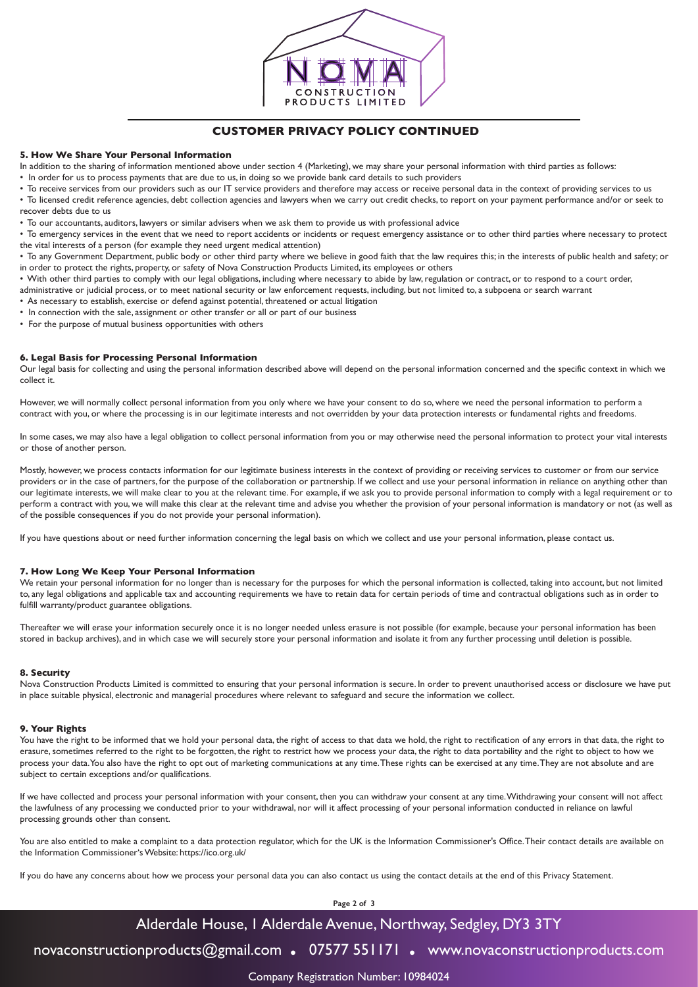

# **CUSTOMER PRIVACY POLICY CONTINUED**

#### **5. How We Share Your Personal Information**

In addition to the sharing of information mentioned above under section 4 (Marketing), we may share your personal information with third parties as follows:

• In order for us to process payments that are due to us, in doing so we provide bank card details to such providers

• To receive services from our providers such as our IT service providers and therefore may access or receive personal data in the context of providing services to us • To licensed credit reference agencies, debt collection agencies and lawyers when we carry out credit checks, to report on your payment performance and/or or seek to recover debts due to us

• To our accountants, auditors, lawyers or similar advisers when we ask them to provide us with professional advice

• To emergency services in the event that we need to report accidents or incidents or request emergency assistance or to other third parties where necessary to protect the vital interests of a person (for example they need urgent medical attention)

• To any Government Department, public body or other third party where we believe in good faith that the law requires this; in the interests of public health and safety; or in order to protect the rights, property, or safety of Nova Construction Products Limited, its employees or others

• With other third parties to comply with our legal obligations, including where necessary to abide by law, regulation or contract, or to respond to a court order,

administrative or judicial process, or to meet national security or law enforcement requests, including, but not limited to, a subpoena or search warrant

• As necessary to establish, exercise or defend against potential, threatened or actual litigation

- In connection with the sale, assignment or other transfer or all or part of our business
- For the purpose of mutual business opportunities with others

#### **6. Legal Basis for Processing Personal Information**

Our legal basis for collecting and using the personal information described above will depend on the personal information concerned and the specific context in which we collect it.

However, we will normally collect personal information from you only where we have your consent to do so, where we need the personal information to perform a contract with you, or where the processing is in our legitimate interests and not overridden by your data protection interests or fundamental rights and freedoms.

In some cases, we may also have a legal obligation to collect personal information from you or may otherwise need the personal information to protect your vital interests or those of another person.

Mostly, however, we process contacts information for our legitimate business interests in the context of providing or receiving services to customer or from our service providers or in the case of partners, for the purpose of the collaboration or partnership. If we collect and use your personal information in reliance on anything other than our legitimate interests, we will make clear to you at the relevant time. For example, if we ask you to provide personal information to comply with a legal requirement or to perform a contract with you, we will make this clear at the relevant time and advise you whether the provision of your personal information is mandatory or not (as well as of the possible consequences if you do not provide your personal information).

If you have questions about or need further information concerning the legal basis on which we collect and use your personal information, please contact us.

## **7. How Long We Keep Your Personal Information**

We retain your personal information for no longer than is necessary for the purposes for which the personal information is collected, taking into account, but not limited to, any legal obligations and applicable tax and accounting requirements we have to retain data for certain periods of time and contractual obligations such as in order to fulfill warranty/product guarantee obligations.

Thereafter we will erase your information securely once it is no longer needed unless erasure is not possible (for example, because your personal information has been stored in backup archives), and in which case we will securely store your personal information and isolate it from any further processing until deletion is possible.

#### **8. Security**

Nova Construction Products Limited is committed to ensuring that your personal information is secure. In order to prevent unauthorised access or disclosure we have put in place suitable physical, electronic and managerial procedures where relevant to safeguard and secure the information we collect.

#### **9. Your Rights**

You have the right to be informed that we hold your personal data, the right of access to that data we hold, the right to rectification of any errors in that data, the right to erasure, sometimes referred to the right to be forgotten, the right to restrict how we process your data, the right to data portability and the right to object to how we process your data. You also have the right to opt out of marketing communications at any time. These rights can be exercised at any time. They are not absolute and are subject to certain exceptions and/or qualifications.

If we have collected and process your personal information with your consent, then you can withdraw your consent at any time. Withdrawing your consent will not affect the lawfulness of any processing we conducted prior to your withdrawal, nor will it affect processing of your personal information conducted in reliance on lawful processing grounds other than consent.

You are also entitled to make a complaint to a data protection regulator, which for the UK is the Information Commissioner's Office. Their contact details are available on the Information Commissioner's Website: https://ico.org.uk/

If you do have any concerns about how we process your personal data you can also contact us using the contact details at the end of this Privacy Statement.

**Page 2 of 3**

# Alderdale House, 1 Alderdale Avenue, Northway, Sedgley, DY3 3TY

novaconstructionproducts@gmail.com **.** 07577 551171 **.** www.novaconstructionproducts.com

Company Registration Number: 10984024